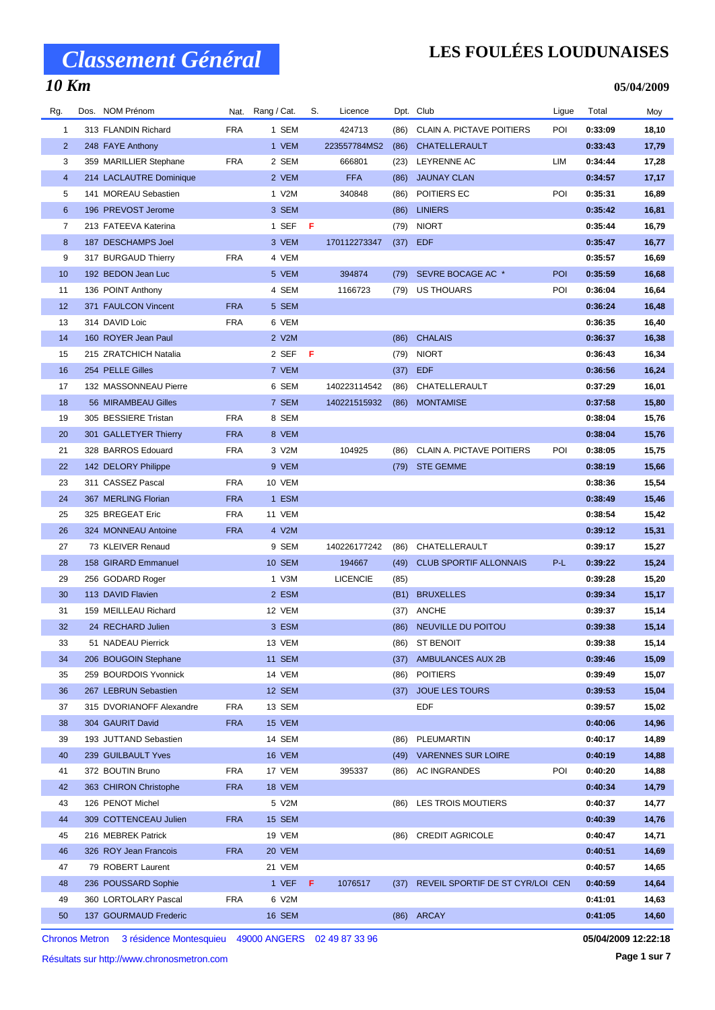### **LES FOULÉES LOUDUNAISES**

**05/04/2009**

| Rg.            | Dos. NOM Prénom          |            | Nat. Rang / Cat. | S.  | Licence         |      | Dpt. Club                        | Ligue | Total   | Moy   |
|----------------|--------------------------|------------|------------------|-----|-----------------|------|----------------------------------|-------|---------|-------|
| $\mathbf{1}$   | 313 FLANDIN Richard      | <b>FRA</b> | 1 SEM            |     | 424713          | (86) | CLAIN A. PICTAVE POITIERS        | POI   | 0:33:09 | 18,10 |
| $\overline{2}$ | 248 FAYE Anthony         |            | 1 VEM            |     | 223557784MS2    | (86) | CHATELLERAULT                    |       | 0:33:43 | 17,79 |
| 3              | 359 MARILLIER Stephane   | <b>FRA</b> | 2 SEM            |     | 666801          | (23) | LEYRENNE AC                      | LIM   | 0:34:44 | 17,28 |
| $\overline{4}$ | 214 LACLAUTRE Dominique  |            | 2 VEM            |     | <b>FFA</b>      | (86) | <b>JAUNAY CLAN</b>               |       | 0:34:57 | 17,17 |
| 5              | 141 MOREAU Sebastien     |            | 1 V2M            |     | 340848          | (86) | POITIERS EC                      | POI   | 0:35:31 | 16,89 |
| 6              | 196 PREVOST Jerome       |            | 3 SEM            |     |                 | (86) | <b>LINIERS</b>                   |       | 0:35:42 | 16,81 |
| 7              | 213 FATEEVA Katerina     |            | 1 SEF            | F   |                 | (79) | <b>NIORT</b>                     |       | 0:35:44 | 16,79 |
| 8              | 187 DESCHAMPS Joel       |            | 3 VEM            |     | 170112273347    |      | $(37)$ EDF                       |       | 0:35:47 | 16,77 |
| 9              | 317 BURGAUD Thierry      | <b>FRA</b> | 4 VEM            |     |                 |      |                                  |       | 0:35:57 | 16,69 |
| 10             | 192 BEDON Jean Luc       |            | 5 VEM            |     | 394874          | (79) | SEVRE BOCAGE AC *                | POI   | 0:35:59 | 16,68 |
| 11             | 136 POINT Anthony        |            | 4 SEM            |     | 1166723         | (79) | US THOUARS                       | POI   | 0:36:04 | 16,64 |
| 12             | 371 FAULCON Vincent      | <b>FRA</b> | 5 SEM            |     |                 |      |                                  |       | 0:36:24 | 16,48 |
| 13             | 314 DAVID Loic           | <b>FRA</b> | 6 VEM            |     |                 |      |                                  |       | 0:36:35 | 16,40 |
| 14             | 160 ROYER Jean Paul      |            | 2 V2M            |     |                 | (86) | <b>CHALAIS</b>                   |       | 0:36:37 | 16,38 |
| 15             | 215 ZRATCHICH Natalia    |            | 2 SEF            | - F |                 | (79) | <b>NIORT</b>                     |       | 0:36:43 | 16,34 |
| 16             | 254 PELLE Gilles         |            | 7 VEM            |     |                 |      | <b>EDF</b>                       |       | 0:36:56 |       |
|                |                          |            |                  |     |                 | (37) | CHATELLERAULT                    |       |         | 16,24 |
| 17             | 132 MASSONNEAU Pierre    |            | 6 SEM            |     | 140223114542    | (86) |                                  |       | 0:37:29 | 16,01 |
| 18             | 56 MIRAMBEAU Gilles      |            | 7 SEM            |     | 140221515932    | (86) | <b>MONTAMISE</b>                 |       | 0:37:58 | 15,80 |
| 19             | 305 BESSIERE Tristan     | <b>FRA</b> | 8 SEM            |     |                 |      |                                  |       | 0:38:04 | 15,76 |
| 20             | 301 GALLETYER Thierry    | <b>FRA</b> | 8 VEM            |     |                 |      |                                  |       | 0:38:04 | 15,76 |
| 21             | 328 BARROS Edouard       | <b>FRA</b> | 3 V2M            |     | 104925          | (86) | CLAIN A. PICTAVE POITIERS        | POI   | 0:38:05 | 15,75 |
| 22             | 142 DELORY Philippe      |            | 9 VEM            |     |                 | (79) | <b>STE GEMME</b>                 |       | 0:38:19 | 15,66 |
| 23             | 311 CASSEZ Pascal        | <b>FRA</b> | 10 VEM           |     |                 |      |                                  |       | 0:38:36 | 15,54 |
| 24             | 367 MERLING Florian      | <b>FRA</b> | 1 ESM            |     |                 |      |                                  |       | 0:38:49 | 15,46 |
| 25             | 325 BREGEAT Eric         | <b>FRA</b> | 11 VEM           |     |                 |      |                                  |       | 0:38:54 | 15,42 |
| 26             | 324 MONNEAU Antoine      | <b>FRA</b> | 4 V2M            |     |                 |      |                                  |       | 0:39:12 | 15,31 |
| 27             | 73 KLEIVER Renaud        |            | 9 SEM            |     | 140226177242    | (86) | CHATELLERAULT                    |       | 0:39:17 | 15,27 |
| 28             | 158 GIRARD Emmanuel      |            | <b>10 SEM</b>    |     | 194667          | (49) | <b>CLUB SPORTIF ALLONNAIS</b>    | P-L   | 0:39:22 | 15,24 |
| 29             | 256 GODARD Roger         |            | 1 V3M            |     | <b>LICENCIE</b> | (85) |                                  |       | 0:39:28 | 15,20 |
| 30             | 113 DAVID Flavien        |            | 2 ESM            |     |                 | (B1) | <b>BRUXELLES</b>                 |       | 0:39:34 | 15,17 |
| 31             | 159 MEILLEAU Richard     |            | 12 VEM           |     |                 | (37) | ANCHE                            |       | 0:39:37 | 15,14 |
| 32             | 24 RECHARD Julien        |            | 3 ESM            |     |                 | (86) | NEUVILLE DU POITOU               |       | 0:39:38 | 15,14 |
| 33             | 51 NADEAU Pierrick       |            | 13 VEM           |     |                 | (86) | ST BENOIT                        |       | 0:39:38 | 15,14 |
| 34             | 206 BOUGOIN Stephane     |            | 11 SEM           |     |                 |      | (37) AMBULANCES AUX 2B           |       | 0:39:46 | 15,09 |
| 35             | 259 BOURDOIS Yvonnick    |            | 14 VEM           |     |                 | (86) | <b>POITIERS</b>                  |       | 0:39:49 | 15,07 |
| 36             | 267 LEBRUN Sebastien     |            | 12 SEM           |     |                 |      | (37) JOUE LES TOURS              |       | 0:39:53 | 15,04 |
| 37             | 315 DVORIANOFF Alexandre | <b>FRA</b> | 13 SEM           |     |                 |      | EDF                              |       | 0:39:57 | 15,02 |
| 38             | 304 GAURIT David         | <b>FRA</b> | 15 VEM           |     |                 |      |                                  |       | 0:40:06 | 14,96 |
| 39             | 193 JUTTAND Sebastien    |            | 14 SEM           |     |                 | (86) | PLEUMARTIN                       |       | 0:40:17 | 14,89 |
| 40             | 239 GUILBAULT Yves       |            | <b>16 VEM</b>    |     |                 | (49) | <b>VARENNES SUR LOIRE</b>        |       | 0:40:19 | 14,88 |
| 41             | 372 BOUTIN Bruno         | <b>FRA</b> | 17 VEM           |     | 395337          | (86) | <b>AC INGRANDES</b>              | POI   | 0:40:20 | 14,88 |
| 42             | 363 CHIRON Christophe    | <b>FRA</b> | 18 VEM           |     |                 |      |                                  |       | 0:40:34 | 14,79 |
| 43             | 126 PENOT Michel         |            | 5 V2M            |     |                 |      | (86) LES TROIS MOUTIERS          |       | 0:40:37 | 14,77 |
| 44             | 309 COTTENCEAU Julien    | <b>FRA</b> | 15 SEM           |     |                 |      |                                  |       | 0:40:39 | 14,76 |
| 45             | 216 MEBREK Patrick       |            | 19 VEM           |     |                 | (86) | <b>CREDIT AGRICOLE</b>           |       | 0:40:47 | 14,71 |
| 46             | 326 ROY Jean Francois    | <b>FRA</b> | 20 VEM           |     |                 |      |                                  |       | 0:40:51 | 14,69 |
| 47             | 79 ROBERT Laurent        |            | 21 VEM           |     |                 |      |                                  |       | 0:40:57 | 14,65 |
| 48             | 236 POUSSARD Sophie      |            | 1 VEF $F$        |     | 1076517         | (37) | REVEIL SPORTIF DE ST CYR/LOI CEN |       | 0:40:59 | 14,64 |
| 49             | 360 LORTOLARY Pascal     | <b>FRA</b> | 6 V2M            |     |                 |      |                                  |       | 0:41:01 | 14,63 |
| 50             | 137 GOURMAUD Frederic    |            | 16 SEM           |     |                 |      | (86) ARCAY                       |       | 0:41:05 | 14,60 |
|                |                          |            |                  |     |                 |      |                                  |       |         |       |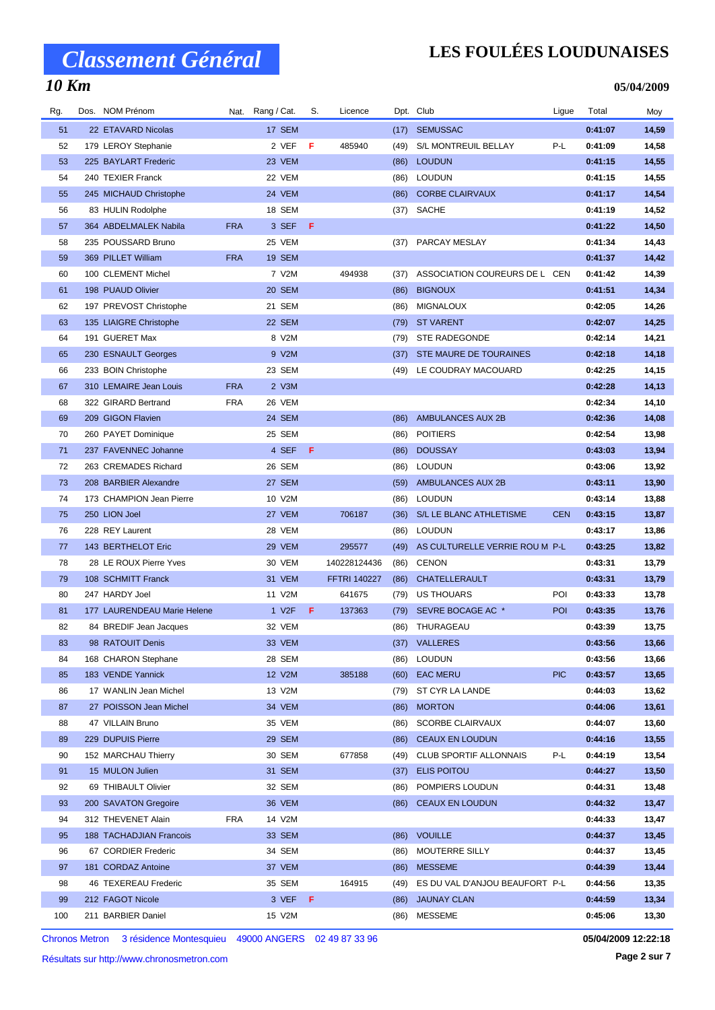### **LES FOULÉES LOUDUNAISES**

**05/04/2009**

| Rg. | Dos. NOM Prénom             |            | Nat. Rang / Cat.   | S. | Licence             |      | Dpt. Club                      | Ligue      | Total   | Moy   |
|-----|-----------------------------|------------|--------------------|----|---------------------|------|--------------------------------|------------|---------|-------|
| 51  | 22 ETAVARD Nicolas          |            | 17 SEM             |    |                     | (17) | <b>SEMUSSAC</b>                |            | 0:41:07 | 14,59 |
| 52  | 179 LEROY Stephanie         |            | 2 VEF              | F  | 485940              | (49) | S/L MONTREUIL BELLAY           | P-L        | 0:41:09 | 14,58 |
| 53  | 225 BAYLART Frederic        |            | 23 VEM             |    |                     | (86) | <b>LOUDUN</b>                  |            | 0:41:15 | 14,55 |
| 54  | 240 TEXIER Franck           |            | 22 VEM             |    |                     | (86) | <b>LOUDUN</b>                  |            | 0:41:15 | 14,55 |
| 55  | 245 MICHAUD Christophe      |            | 24 VEM             |    |                     | (86) | <b>CORBE CLAIRVAUX</b>         |            | 0:41:17 | 14,54 |
| 56  | 83 HULIN Rodolphe           |            | 18 SEM             |    |                     |      | (37) SACHE                     |            | 0:41:19 | 14,52 |
| 57  | 364 ABDELMALEK Nabila       | <b>FRA</b> | 3 SEF              | F. |                     |      |                                |            | 0:41:22 | 14,50 |
| 58  | 235 POUSSARD Bruno          |            | 25 VEM             |    |                     | (37) | PARCAY MESLAY                  |            | 0:41:34 | 14,43 |
| 59  | 369 PILLET William          | <b>FRA</b> | <b>19 SEM</b>      |    |                     |      |                                |            | 0:41:37 | 14,42 |
| 60  | 100 CLEMENT Michel          |            | 7 V2M              |    | 494938              | (37) | ASSOCIATION COUREURS DE L CEN  |            | 0:41:42 | 14,39 |
| 61  | 198 PUAUD Olivier           |            | 20 SEM             |    |                     | (86) | <b>BIGNOUX</b>                 |            | 0:41:51 | 14,34 |
| 62  | 197 PREVOST Christophe      |            | 21 SEM             |    |                     | (86) | <b>MIGNALOUX</b>               |            | 0:42:05 | 14,26 |
| 63  | 135 LIAIGRE Christophe      |            | 22 SEM             |    |                     | (79) | <b>ST VARENT</b>               |            | 0:42:07 | 14,25 |
| 64  | 191 GUERET Max              |            | 8 V2M              |    |                     | (79) | STE RADEGONDE                  |            | 0:42:14 | 14,21 |
| 65  | 230 ESNAULT Georges         |            | 9 V2M              |    |                     | (37) | STE MAURE DE TOURAINES         |            | 0:42:18 | 14,18 |
| 66  | 233 BOIN Christophe         |            | 23 SEM             |    |                     | (49) | LE COUDRAY MACOUARD            |            | 0:42:25 | 14,15 |
| 67  | 310 LEMAIRE Jean Louis      | <b>FRA</b> | 2 V3M              |    |                     |      |                                |            | 0:42:28 | 14,13 |
| 68  | 322 GIRARD Bertrand         | <b>FRA</b> | 26 VEM             |    |                     |      |                                |            | 0:42:34 | 14,10 |
| 69  | 209 GIGON Flavien           |            | 24 SEM             |    |                     | (86) | AMBULANCES AUX 2B              |            | 0:42:36 | 14,08 |
| 70  | 260 PAYET Dominique         |            | 25 SEM             |    |                     | (86) | <b>POITIERS</b>                |            | 0:42:54 | 13,98 |
| 71  | 237 FAVENNEC Johanne        |            | 4 SEF              | F. |                     | (86) | <b>DOUSSAY</b>                 |            | 0:43:03 | 13,94 |
| 72  | 263 CREMADES Richard        |            | 26 SEM             |    |                     | (86) | <b>LOUDUN</b>                  |            | 0:43:06 | 13,92 |
| 73  | 208 BARBIER Alexandre       |            | 27 SEM             |    |                     | (59) | AMBULANCES AUX 2B              |            | 0:43:11 | 13,90 |
| 74  | 173 CHAMPION Jean Pierre    |            | 10 V2M             |    |                     | (86) | <b>LOUDUN</b>                  |            | 0:43:14 | 13,88 |
| 75  | 250 LION Joel               |            | 27 VEM             |    | 706187              | (36) | S/L LE BLANC ATHLETISME        | <b>CEN</b> | 0:43:15 | 13,87 |
| 76  | 228 REY Laurent             |            | 28 VEM             |    |                     | (86) | <b>LOUDUN</b>                  |            | 0:43:17 | 13,86 |
| 77  | 143 BERTHELOT Eric          |            | 29 VEM             |    | 295577              | (49) | AS CULTURELLE VERRIE ROU M P-L |            | 0:43:25 | 13,82 |
| 78  | 28 LE ROUX Pierre Yves      |            | 30 VEM             |    | 140228124436        | (86) | <b>CENON</b>                   |            | 0:43:31 | 13,79 |
| 79  | 108 SCHMITT Franck          |            | 31 VEM             |    | <b>FFTRI 140227</b> | (86) | CHATELLERAULT                  |            | 0:43:31 | 13,79 |
| 80  | 247 HARDY Joel              |            | 11 V2M             |    | 641675              | (79) | <b>US THOUARS</b>              | POI        | 0:43:33 | 13,78 |
| 81  | 177 LAURENDEAU Marie Helene |            | 1 V <sub>2</sub> F | F. | 137363              | (79) | SEVRE BOCAGE AC *              | POI        | 0:43:35 | 13,76 |
| 82  | 84 BREDIF Jean Jacques      |            | 32 VEM             |    |                     |      | (86) THURAGEAU                 |            | 0:43:39 | 13,75 |
| 83  | 98 RATOUIT Denis            |            | 33 VEM             |    |                     |      | (37) VALLERES                  |            | 0:43:56 | 13,66 |
| 84  | 168 CHARON Stephane         |            | 28 SEM             |    |                     | (86) | <b>LOUDUN</b>                  |            | 0:43:56 | 13,66 |
| 85  | 183 VENDE Yannick           |            | 12 V2M             |    | 385188              | (60) | <b>EAC MERU</b>                | <b>PIC</b> | 0:43:57 | 13,65 |
| 86  | 17 WANLIN Jean Michel       |            | 13 V2M             |    |                     | (79) | ST CYR LA LANDE                |            | 0:44:03 | 13,62 |
| 87  | 27 POISSON Jean Michel      |            | 34 VEM             |    |                     | (86) | <b>MORTON</b>                  |            | 0:44:06 | 13,61 |
| 88  | 47 VILLAIN Bruno            |            | 35 VEM             |    |                     | (86) | <b>SCORBE CLAIRVAUX</b>        |            | 0:44:07 | 13,60 |
| 89  | 229 DUPUIS Pierre           |            | 29 SEM             |    |                     | (86) | CEAUX EN LOUDUN                |            | 0:44:16 | 13,55 |
| 90  | 152 MARCHAU Thierry         |            | 30 SEM             |    | 677858              | (49) | <b>CLUB SPORTIF ALLONNAIS</b>  | P-L        | 0:44:19 | 13,54 |
| 91  | 15 MULON Julien             |            | 31 SEM             |    |                     | (37) | ELIS POITOU                    |            | 0:44:27 | 13,50 |
| 92  | 69 THIBAULT Olivier         |            | 32 SEM             |    |                     | (86) | POMPIERS LOUDUN                |            | 0:44:31 | 13,48 |
| 93  | 200 SAVATON Gregoire        |            | 36 VEM             |    |                     | (86) | <b>CEAUX EN LOUDUN</b>         |            | 0:44:32 | 13,47 |
| 94  | 312 THEVENET Alain          | <b>FRA</b> | 14 V2M             |    |                     |      |                                |            | 0:44:33 | 13,47 |
| 95  | 188 TACHADJIAN Francois     |            | 33 SEM             |    |                     | (86) | <b>VOUILLE</b>                 |            | 0:44:37 | 13,45 |
| 96  | 67 CORDIER Frederic         |            | 34 SEM             |    |                     | (86) | MOUTERRE SILLY                 |            | 0:44:37 | 13,45 |
| 97  | 181 CORDAZ Antoine          |            | 37 VEM             |    |                     | (86) | <b>MESSEME</b>                 |            | 0:44:39 | 13,44 |
| 98  | 46 TEXEREAU Frederic        |            | 35 SEM             |    | 164915              | (49) | ES DU VAL D'ANJOU BEAUFORT P-L |            | 0:44:56 | 13,35 |
| 99  | 212 FAGOT Nicole            |            | 3 VEF              | F. |                     | (86) | <b>JAUNAY CLAN</b>             |            | 0:44:59 | 13,34 |
| 100 | 211 BARBIER Daniel          |            | 15 V2M             |    |                     | (86) | MESSEME                        |            | 0:45:06 | 13,30 |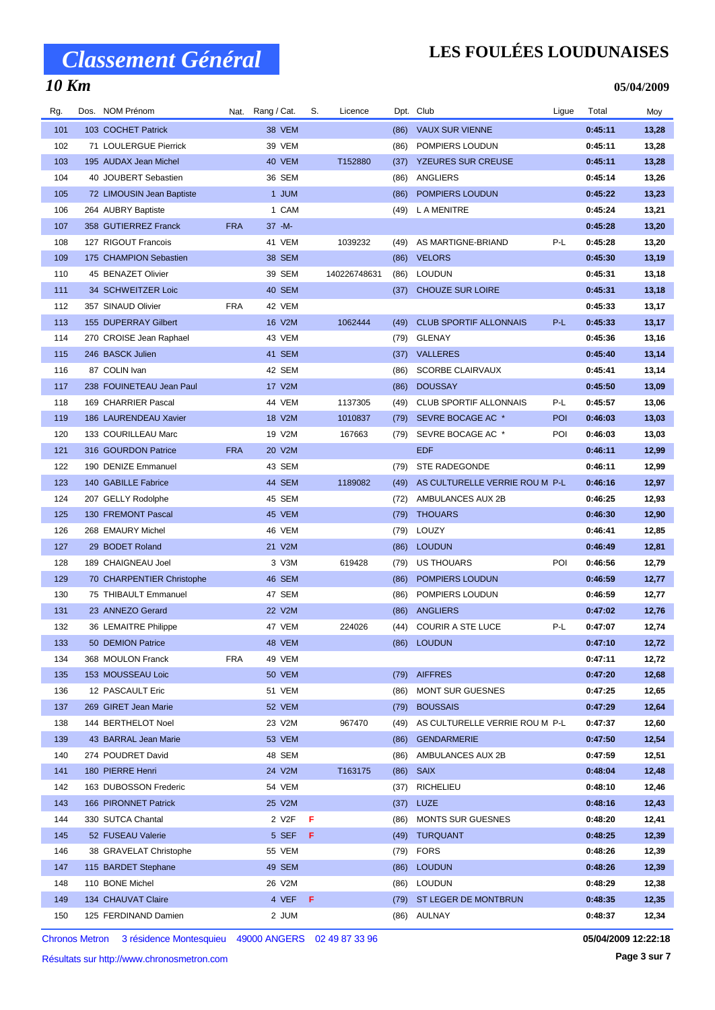### **LES FOULÉES LOUDUNAISES**

**05/04/2009**

| Rg. | Dos. NOM Prénom                          | Nat.       | Rang / Cat.      | S. | Licence      |      | Dpt. Club                      | Ligue      | Total   | Moy   |
|-----|------------------------------------------|------------|------------------|----|--------------|------|--------------------------------|------------|---------|-------|
| 101 | 103 COCHET Patrick                       |            | 38 VEM           |    |              | (86) | <b>VAUX SUR VIENNE</b>         |            | 0:45:11 | 13,28 |
| 102 | 71 LOULERGUE Pierrick                    |            | 39 VEM           |    |              | (86) | POMPIERS LOUDUN                |            | 0:45:11 | 13,28 |
| 103 | 195 AUDAX Jean Michel                    |            | 40 VEM           |    | T152880      | (37) | <b>YZEURES SUR CREUSE</b>      |            | 0:45:11 | 13,28 |
| 104 | 40 JOUBERT Sebastien                     |            | 36 SEM           |    |              | (86) | ANGLIERS                       |            | 0:45:14 | 13,26 |
| 105 | 72 LIMOUSIN Jean Baptiste                |            | 1 JUM            |    |              | (86) | POMPIERS LOUDUN                |            | 0:45:22 | 13,23 |
| 106 | 264 AUBRY Baptiste                       |            | 1 CAM            |    |              | (49) | L A MENITRE                    |            | 0:45:24 | 13,21 |
| 107 | 358 GUTIERREZ Franck                     | <b>FRA</b> | $37 - M -$       |    |              |      |                                |            | 0:45:28 | 13,20 |
| 108 | 127 RIGOUT Francois                      |            | 41 VEM           |    | 1039232      | (49) | AS MARTIGNE-BRIAND             | P-L        | 0:45:28 | 13,20 |
| 109 | 175 CHAMPION Sebastien                   |            | <b>38 SEM</b>    |    |              | (86) | <b>VELORS</b>                  |            | 0:45:30 | 13,19 |
| 110 | 45 BENAZET Olivier                       |            | 39 SEM           |    | 140226748631 | (86) | <b>LOUDUN</b>                  |            | 0:45:31 | 13,18 |
| 111 | 34 SCHWEITZER Loic                       |            | 40 SEM           |    |              | (37) | <b>CHOUZE SUR LOIRE</b>        |            | 0:45:31 | 13,18 |
| 112 | 357 SINAUD Olivier                       | <b>FRA</b> | 42 VEM           |    |              |      |                                |            | 0:45:33 | 13,17 |
| 113 | 155 DUPERRAY Gilbert                     |            | 16 V2M           |    | 1062444      | (49) | <b>CLUB SPORTIF ALLONNAIS</b>  | P-L        | 0:45:33 | 13,17 |
| 114 | 270 CROISE Jean Raphael                  |            | 43 VEM           |    |              | (79) | <b>GLENAY</b>                  |            | 0:45:36 | 13,16 |
| 115 | 246 BASCK Julien                         |            | 41 SEM           |    |              | (37) | <b>VALLERES</b>                |            | 0:45:40 | 13,14 |
| 116 | 87 COLIN Ivan                            |            | 42 SEM           |    |              | (86) | SCORBE CLAIRVAUX               |            | 0:45:41 | 13,14 |
| 117 | 238 FOUINETEAU Jean Paul                 |            | 17 V2M           |    |              | (86) | <b>DOUSSAY</b>                 |            | 0:45:50 | 13,09 |
| 118 | 169 CHARRIER Pascal                      |            | 44 VEM           |    | 1137305      | (49) | <b>CLUB SPORTIF ALLONNAIS</b>  | P-L        | 0:45:57 | 13,06 |
| 119 | 186 LAURENDEAU Xavier                    |            | 18 V2M           |    | 1010837      | (79) | SEVRE BOCAGE AC *              | <b>POI</b> | 0:46:03 | 13,03 |
| 120 | 133 COURILLEAU Marc                      |            | 19 V2M           |    | 167663       | (79) | SEVRE BOCAGE AC *              | POI        | 0:46:03 | 13,03 |
| 121 | 316 GOURDON Patrice                      | <b>FRA</b> | 20 V2M           |    |              |      | <b>EDF</b>                     |            | 0:46:11 | 12,99 |
| 122 | 190 DENIZE Emmanuel                      |            | 43 SEM           |    |              | (79) | <b>STE RADEGONDE</b>           |            | 0:46:11 | 12,99 |
| 123 | 140 GABILLE Fabrice                      |            | 44 SEM           |    | 1189082      | (49) | AS CULTURELLE VERRIE ROU M P-L |            | 0:46:16 | 12,97 |
| 124 |                                          |            | 45 SEM           |    |              |      |                                |            | 0:46:25 |       |
| 125 | 207 GELLY Rodolphe<br>130 FREMONT Pascal |            | 45 VEM           |    |              | (72) | AMBULANCES AUX 2B              |            | 0:46:30 | 12,93 |
|     |                                          |            |                  |    |              | (79) | <b>THOUARS</b><br>LOUZY        |            |         | 12,90 |
| 126 | 268 EMAURY Michel                        |            | 46 VEM<br>21 V2M |    |              | (79) |                                |            | 0:46:41 | 12,85 |
| 127 | 29 BODET Roland                          |            |                  |    |              | (86) | <b>LOUDUN</b>                  |            | 0:46:49 | 12,81 |
| 128 | 189 CHAIGNEAU Joel                       |            | 3 V3M            |    | 619428       | (79) | US THOUARS                     | POI        | 0:46:56 | 12,79 |
| 129 | 70 CHARPENTIER Christophe                |            | 46 SEM           |    |              | (86) | POMPIERS LOUDUN                |            | 0:46:59 | 12,77 |
| 130 | 75 THIBAULT Emmanuel                     |            | 47 SEM           |    |              | (86) | POMPIERS LOUDUN                |            | 0:46:59 | 12,77 |
| 131 | 23 ANNEZO Gerard                         |            | 22 V2M           |    |              | (86) | ANGLIERS                       |            | 0:47:02 | 12,76 |
| 132 | 36 LEMAITRE Philippe                     |            | 47 VEM           |    | 224026       |      | (44) COURIR A STE LUCE         | P-L        | 0:47:07 | 12,74 |
| 133 | 50 DEMION Patrice                        |            | 48 VEM           |    |              |      | (86) LOUDUN                    |            | 0:47:10 | 12,72 |
| 134 | 368 MOULON Franck                        | <b>FRA</b> | 49 VEM           |    |              |      |                                |            | 0:47:11 | 12,72 |
| 135 | 153 MOUSSEAU Loic                        |            | <b>50 VEM</b>    |    |              | (79) | <b>AIFFRES</b>                 |            | 0:47:20 | 12,68 |
| 136 | 12 PASCAULT Eric                         |            | 51 VEM           |    |              | (86) | <b>MONT SUR GUESNES</b>        |            | 0:47:25 | 12,65 |
| 137 | 269 GIRET Jean Marie                     |            | 52 VEM           |    |              | (79) | <b>BOUSSAIS</b>                |            | 0:47:29 | 12,64 |
| 138 | 144 BERTHELOT Noel                       |            | 23 V2M           |    | 967470       | (49) | AS CULTURELLE VERRIE ROU M P-L |            | 0:47:37 | 12,60 |
| 139 | 43 BARRAL Jean Marie                     |            | 53 VEM           |    |              | (86) | <b>GENDARMERIE</b>             |            | 0:47:50 | 12,54 |
| 140 | 274 POUDRET David                        |            | 48 SEM           |    |              | (86) | AMBULANCES AUX 2B              |            | 0:47:59 | 12,51 |
| 141 | 180 PIERRE Henri                         |            | 24 V2M           |    | T163175      |      | $(86)$ SAIX                    |            | 0:48:04 | 12,48 |
| 142 | 163 DUBOSSON Frederic                    |            | 54 VEM           |    |              | (37) | <b>RICHELIEU</b>               |            | 0:48:10 | 12,46 |
| 143 | 166 PIRONNET Patrick                     |            | 25 V2M           |    |              |      | $(37)$ LUZE                    |            | 0:48:16 | 12,43 |
| 144 | 330 SUTCA Chantal                        |            | 2 V2F            | F  |              | (86) | <b>MONTS SUR GUESNES</b>       |            | 0:48:20 | 12,41 |
| 145 | 52 FUSEAU Valerie                        |            | 5 SEF            | F. |              | (49) | <b>TURQUANT</b>                |            | 0:48:25 | 12,39 |
| 146 | 38 GRAVELAT Christophe                   |            | 55 VEM           |    |              | (79) | <b>FORS</b>                    |            | 0:48:26 | 12,39 |
| 147 | 115 BARDET Stephane                      |            | 49 SEM           |    |              | (86) | <b>LOUDUN</b>                  |            | 0:48:26 | 12,39 |
| 148 | 110 BONE Michel                          |            | 26 V2M           |    |              | (86) | LOUDUN                         |            | 0:48:29 | 12,38 |
| 149 | 134 CHAUVAT Claire                       |            | 4 VEF F          |    |              |      | (79) ST LEGER DE MONTBRUN      |            | 0:48:35 | 12,35 |
| 150 | 125 FERDINAND Damien                     |            | 2 JUM            |    |              |      | (86) AULNAY                    |            | 0:48:37 | 12,34 |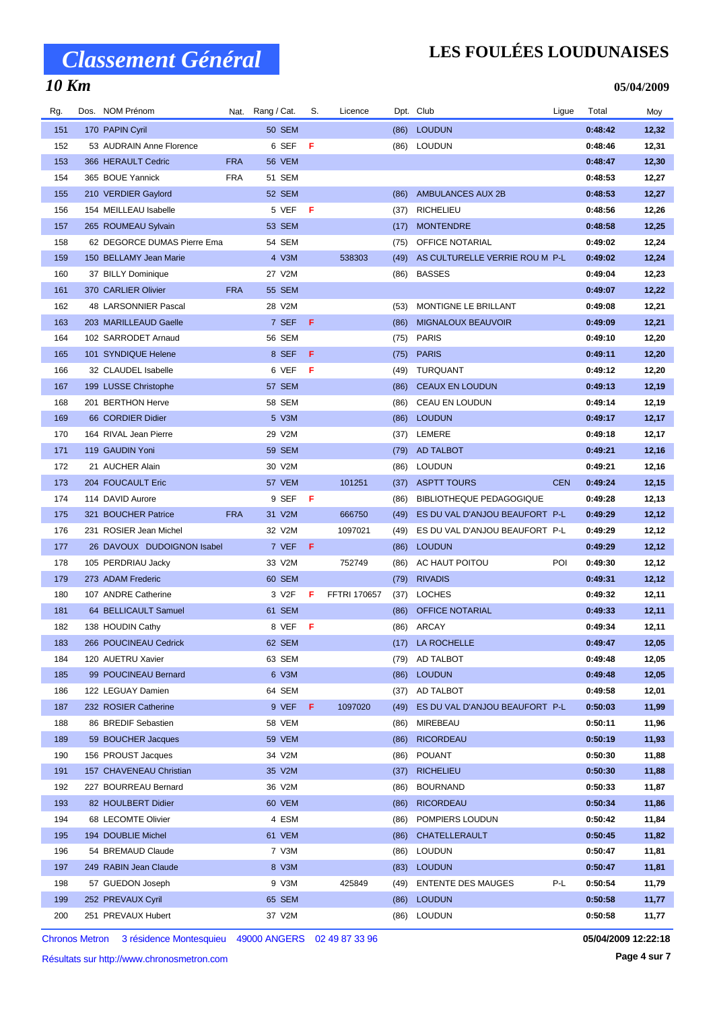### **LES FOULÉES LOUDUNAISES**

**05/04/2009**

| Rg. | Dos. NOM Prénom             |            | Nat. Rang / Cat. | S.  | Licence             |      | Dpt. Club                       | Ligue      | Total   | Moy   |
|-----|-----------------------------|------------|------------------|-----|---------------------|------|---------------------------------|------------|---------|-------|
| 151 | 170 PAPIN Cyril             |            | <b>50 SEM</b>    |     |                     |      | (86) LOUDUN                     |            | 0:48:42 | 12,32 |
| 152 | 53 AUDRAIN Anne Florence    |            | 6 SEF            | - F |                     |      | (86) LOUDUN                     |            | 0:48:46 | 12,31 |
| 153 | 366 HERAULT Cedric          | <b>FRA</b> | 56 VEM           |     |                     |      |                                 |            | 0:48:47 | 12,30 |
| 154 | 365 BOUE Yannick            | <b>FRA</b> | 51 SEM           |     |                     |      |                                 |            | 0:48:53 | 12,27 |
| 155 | 210 VERDIER Gaylord         |            | 52 SEM           |     |                     | (86) | AMBULANCES AUX 2B               |            | 0:48:53 | 12,27 |
| 156 | 154 MEILLEAU Isabelle       |            | 5 VEF            | - F |                     | (37) | <b>RICHELIEU</b>                |            | 0:48:56 | 12,26 |
| 157 | 265 ROUMEAU Sylvain         |            | 53 SEM           |     |                     | (17) | <b>MONTENDRE</b>                |            | 0:48:58 | 12,25 |
| 158 | 62 DEGORCE DUMAS Pierre Ema |            | 54 SEM           |     |                     | (75) | OFFICE NOTARIAL                 |            | 0:49:02 | 12,24 |
| 159 | 150 BELLAMY Jean Marie      |            | 4 V3M            |     | 538303              | (49) | AS CULTURELLE VERRIE ROU M P-L  |            | 0:49:02 | 12,24 |
| 160 | 37 BILLY Dominique          |            | 27 V2M           |     |                     | (86) | <b>BASSES</b>                   |            | 0:49:04 | 12,23 |
| 161 | 370 CARLIER Olivier         | <b>FRA</b> | 55 SEM           |     |                     |      |                                 |            | 0:49:07 | 12,22 |
| 162 | 48 LARSONNIER Pascal        |            | 28 V2M           |     |                     | (53) | MONTIGNE LE BRILLANT            |            | 0:49:08 | 12,21 |
| 163 | 203 MARILLEAUD Gaelle       |            | 7 SEF            | F.  |                     | (86) | <b>MIGNALOUX BEAUVOIR</b>       |            | 0:49:09 | 12,21 |
| 164 | 102 SARRODET Arnaud         |            | <b>56 SEM</b>    |     |                     | (75) | <b>PARIS</b>                    |            | 0:49:10 | 12,20 |
| 165 | 101 SYNDIQUE Helene         |            | 8 SEF            | F   |                     | (75) | <b>PARIS</b>                    |            | 0:49:11 | 12,20 |
| 166 | 32 CLAUDEL Isabelle         |            | 6 VEF            | F   |                     | (49) | TURQUANT                        |            | 0:49:12 | 12,20 |
| 167 | 199 LUSSE Christophe        |            | 57 SEM           |     |                     | (86) | <b>CEAUX EN LOUDUN</b>          |            | 0:49:13 | 12,19 |
| 168 | 201 BERTHON Herve           |            | 58 SEM           |     |                     | (86) | CEAU EN LOUDUN                  |            | 0:49:14 | 12,19 |
| 169 | 66 CORDIER Didier           |            | 5 V3M            |     |                     | (86) | <b>LOUDUN</b>                   |            | 0:49:17 | 12,17 |
| 170 | 164 RIVAL Jean Pierre       |            | 29 V2M           |     |                     | (37) | LEMERE                          |            | 0:49:18 | 12,17 |
| 171 | 119 GAUDIN Yoni             |            | <b>59 SEM</b>    |     |                     | (79) | AD TALBOT                       |            | 0:49:21 | 12,16 |
| 172 | 21 AUCHER Alain             |            | 30 V2M           |     |                     | (86) | <b>LOUDUN</b>                   |            | 0:49:21 | 12,16 |
| 173 | 204 FOUCAULT Eric           |            | 57 VEM           |     | 101251              | (37) | <b>ASPTT TOURS</b>              | <b>CEN</b> | 0:49:24 | 12,15 |
| 174 | 114 DAVID Aurore            |            | 9 SEF            | - F |                     | (86) | <b>BIBLIOTHEQUE PEDAGOGIQUE</b> |            | 0:49:28 | 12,13 |
| 175 | 321 BOUCHER Patrice         | <b>FRA</b> | 31 V2M           |     | 666750              | (49) | ES DU VAL D'ANJOU BEAUFORT P-L  |            | 0:49:29 | 12,12 |
| 176 | 231 ROSIER Jean Michel      |            | 32 V2M           |     | 1097021             | (49) | ES DU VAL D'ANJOU BEAUFORT P-L  |            | 0:49:29 | 12,12 |
| 177 | 26 DAVOUX DUDOIGNON Isabel  |            | 7 VEF F          |     |                     | (86) | <b>LOUDUN</b>                   |            | 0:49:29 | 12,12 |
| 178 | 105 PERDRIAU Jacky          |            | 33 V2M           |     | 752749              | (86) | AC HAUT POITOU                  | POI        | 0:49:30 | 12,12 |
| 179 | 273 ADAM Frederic           |            | 60 SEM           |     |                     | (79) | <b>RIVADIS</b>                  |            | 0:49:31 | 12,12 |
| 180 | 107 ANDRE Catherine         |            | 3 V2F            | F   | <b>FFTRI 170657</b> | (37) | <b>LOCHES</b>                   |            | 0:49:32 | 12,11 |
| 181 | 64 BELLICAULT Samuel        |            | 61 SEM           |     |                     | (86) | <b>OFFICE NOTARIAL</b>          |            | 0:49:33 | 12,11 |
| 182 | 138 HOUDIN Cathy            |            | 8 VEF F          |     |                     |      | (86) ARCAY                      |            | 0:49:34 | 12,11 |
| 183 | 266 POUCINEAU Cedrick       |            | 62 SEM           |     |                     |      | (17) LA ROCHELLE                |            | 0:49:47 | 12,05 |
| 184 | 120 AUETRU Xavier           |            | 63 SEM           |     |                     | (79) | AD TALBOT                       |            | 0:49:48 | 12,05 |
| 185 | 99 POUCINEAU Bernard        |            | 6 V3M            |     |                     | (86) | <b>LOUDUN</b>                   |            | 0:49:48 | 12,05 |
| 186 | 122 LEGUAY Damien           |            | 64 SEM           |     |                     | (37) | AD TALBOT                       |            | 0:49:58 | 12,01 |
| 187 | 232 ROSIER Catherine        |            | 9 VEF            | F.  | 1097020             | (49) | ES DU VAL D'ANJOU BEAUFORT P-L  |            | 0:50:03 | 11,99 |
| 188 | 86 BREDIF Sebastien         |            | 58 VEM           |     |                     | (86) | MIREBEAU                        |            | 0:50:11 | 11,96 |
| 189 | 59 BOUCHER Jacques          |            | 59 VEM           |     |                     | (86) | <b>RICORDEAU</b>                |            | 0:50:19 | 11,93 |
| 190 | 156 PROUST Jacques          |            | 34 V2M           |     |                     | (86) | <b>POUANT</b>                   |            | 0:50:30 | 11,88 |
| 191 | 157 CHAVENEAU Christian     |            | 35 V2M           |     |                     | (37) | <b>RICHELIEU</b>                |            | 0:50:30 | 11,88 |
| 192 | 227 BOURREAU Bernard        |            | 36 V2M           |     |                     | (86) | <b>BOURNAND</b>                 |            | 0:50:33 | 11,87 |
| 193 | 82 HOULBERT Didier          |            | 60 VEM           |     |                     | (86) | <b>RICORDEAU</b>                |            | 0:50:34 | 11,86 |
| 194 | 68 LECOMTE Olivier          |            | 4 ESM            |     |                     | (86) | POMPIERS LOUDUN                 |            | 0:50:42 | 11,84 |
| 195 | 194 DOUBLIE Michel          |            | 61 VEM           |     |                     | (86) | CHATELLERAULT                   |            | 0:50:45 | 11,82 |
| 196 | 54 BREMAUD Claude           |            | 7 V3M            |     |                     | (86) | <b>LOUDUN</b>                   |            | 0:50:47 | 11,81 |
| 197 | 249 RABIN Jean Claude       |            | 8 V3M            |     |                     | (83) | <b>LOUDUN</b>                   |            | 0:50:47 | 11,81 |
| 198 | 57 GUEDON Joseph            |            | 9 V3M            |     | 425849              | (49) | <b>ENTENTE DES MAUGES</b>       | P-L        | 0:50:54 | 11,79 |
| 199 | 252 PREVAUX Cyril           |            | 65 SEM           |     |                     | (86) | <b>LOUDUN</b>                   |            | 0:50:58 | 11,77 |
| 200 | 251 PREVAUX Hubert          |            | 37 V2M           |     |                     | (86) | <b>LOUDUN</b>                   |            | 0:50:58 | 11,77 |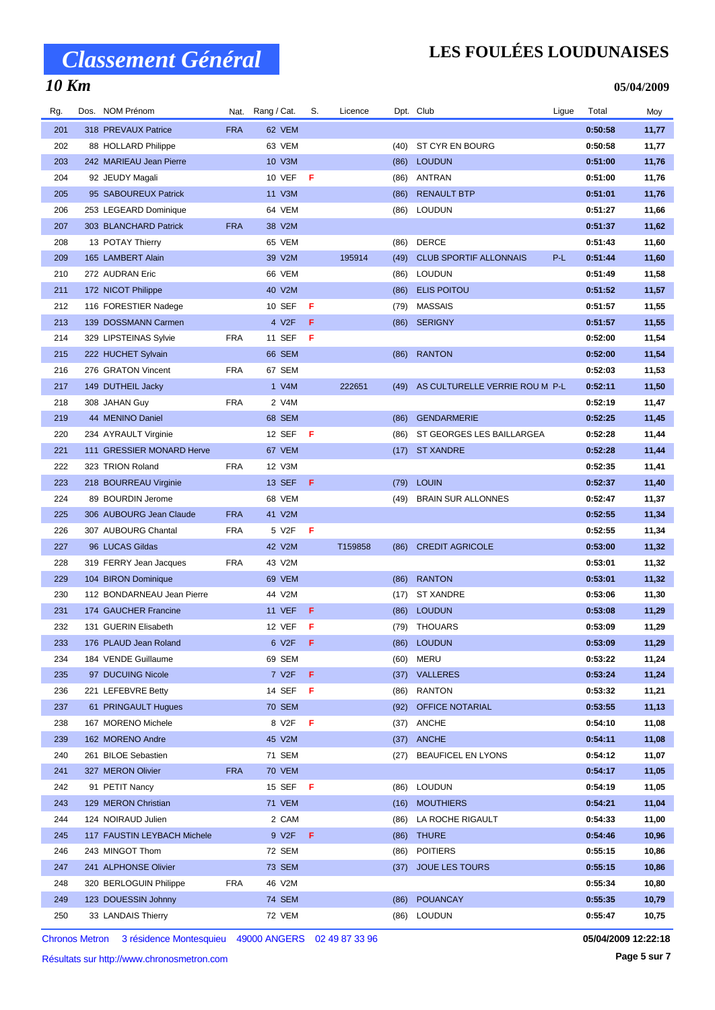# *Classement Général*

#### *10 Km*

### **LES FOULÉES LOUDUNAISES**

**05/04/2009**

| Rg. | Dos. NOM Prénom             | Nat.       | Rang / Cat.        | S.  | Licence |      | Dpt. Club                      | Ligue | Total   | Moy   |
|-----|-----------------------------|------------|--------------------|-----|---------|------|--------------------------------|-------|---------|-------|
| 201 | 318 PREVAUX Patrice         | <b>FRA</b> | 62 VEM             |     |         |      |                                |       | 0:50:58 | 11,77 |
| 202 | 88 HOLLARD Philippe         |            | 63 VEM             |     |         | (40) | ST CYR EN BOURG                |       | 0:50:58 | 11,77 |
| 203 | 242 MARIEAU Jean Pierre     |            | 10 V3M             |     |         | (86) | <b>LOUDUN</b>                  |       | 0:51:00 | 11,76 |
| 204 | 92 JEUDY Magali             |            | 10 VEF             | F   |         | (86) | ANTRAN                         |       | 0:51:00 | 11,76 |
| 205 | 95 SABOUREUX Patrick        |            | 11 V3M             |     |         | (86) | <b>RENAULT BTP</b>             |       | 0:51:01 | 11,76 |
| 206 | 253 LEGEARD Dominique       |            | 64 VEM             |     |         | (86) | <b>LOUDUN</b>                  |       | 0:51:27 | 11,66 |
| 207 | 303 BLANCHARD Patrick       | <b>FRA</b> | 38 V2M             |     |         |      |                                |       | 0:51:37 | 11,62 |
| 208 | 13 POTAY Thierry            |            | 65 VEM             |     |         | (86) | <b>DERCE</b>                   |       | 0:51:43 | 11,60 |
| 209 | 165 LAMBERT Alain           |            | 39 V2M             |     | 195914  | (49) | <b>CLUB SPORTIF ALLONNAIS</b>  | P-L   | 0:51:44 | 11,60 |
| 210 | 272 AUDRAN Eric             |            | 66 VEM             |     |         | (86) | <b>LOUDUN</b>                  |       | 0:51:49 | 11,58 |
| 211 | 172 NICOT Philippe          |            | 40 V2M             |     |         | (86) | <b>ELIS POITOU</b>             |       | 0:51:52 | 11,57 |
| 212 | 116 FORESTIER Nadege        |            | 10 SEF             | F   |         | (79) | <b>MASSAIS</b>                 |       | 0:51:57 | 11,55 |
| 213 | 139 DOSSMANN Carmen         |            | 4 V2F              | F   |         | (86) | <b>SERIGNY</b>                 |       | 0:51:57 | 11,55 |
| 214 | 329 LIPSTEINAS Sylvie       | <b>FRA</b> | 11 SEF             | F   |         |      |                                |       | 0:52:00 | 11,54 |
| 215 | 222 HUCHET Sylvain          |            | 66 SEM             |     |         | (86) | <b>RANTON</b>                  |       | 0:52:00 | 11,54 |
| 216 | 276 GRATON Vincent          | <b>FRA</b> | 67 SEM             |     |         |      |                                |       | 0:52:03 | 11,53 |
| 217 | 149 DUTHEIL Jacky           |            | 1 V4M              |     | 222651  | (49) | AS CULTURELLE VERRIE ROU M P-L |       | 0:52:11 | 11,50 |
| 218 | 308 JAHAN Guy               | <b>FRA</b> | 2 V4M              |     |         |      |                                |       | 0:52:19 | 11,47 |
| 219 | 44 MENINO Daniel            |            | 68 SEM             |     |         | (86) | <b>GENDARMERIE</b>             |       | 0:52:25 | 11,45 |
| 220 | 234 AYRAULT Virginie        |            | 12 SEF             | -F  |         | (86) | ST GEORGES LES BAILLARGEA      |       | 0:52:28 | 11,44 |
| 221 | 111 GRESSIER MONARD Herve   |            | 67 VEM             |     |         | (17) | <b>ST XANDRE</b>               |       | 0:52:28 | 11,44 |
| 222 | 323 TRION Roland            | <b>FRA</b> | 12 V3M             |     |         |      |                                |       | 0:52:35 | 11,41 |
| 223 | 218 BOURREAU Virginie       |            | <b>13 SEF</b>      | F   |         | (79) | <b>LOUIN</b>                   |       | 0:52:37 | 11,40 |
| 224 | 89 BOURDIN Jerome           |            | 68 VEM             |     |         | (49) | <b>BRAIN SUR ALLONNES</b>      |       | 0:52:47 | 11,37 |
| 225 | 306 AUBOURG Jean Claude     | <b>FRA</b> | 41 V2M             |     |         |      |                                |       | 0:52:55 | 11,34 |
| 226 | 307 AUBOURG Chantal         | <b>FRA</b> | 5 V2F              | F   |         |      |                                |       | 0:52:55 | 11,34 |
| 227 | 96 LUCAS Gildas             |            | 42 V2M             |     | T159858 | (86) | <b>CREDIT AGRICOLE</b>         |       | 0:53:00 | 11,32 |
| 228 | 319 FERRY Jean Jacques      | <b>FRA</b> | 43 V2M             |     |         |      |                                |       | 0:53:01 | 11,32 |
| 229 | 104 BIRON Dominique         |            | 69 VEM             |     |         | (86) | <b>RANTON</b>                  |       | 0:53:01 | 11,32 |
| 230 | 112 BONDARNEAU Jean Pierre  |            | 44 V2M             |     |         | (17) | <b>ST XANDRE</b>               |       | 0:53:06 | 11,30 |
| 231 | 174 GAUCHER Francine        |            | <b>11 VEF</b>      | F   |         | (86) | <b>LOUDUN</b>                  |       | 0:53:08 | 11,29 |
| 232 | 131 GUERIN Elisabeth        |            | 12 VEF             | F   |         |      | (79) THOUARS                   |       | 0:53:09 | 11,29 |
| 233 | 176 PLAUD Jean Roland       |            | 6 V2F              | F   |         | (86) | <b>LOUDUN</b>                  |       | 0:53:09 | 11,29 |
| 234 | 184 VENDE Guillaume         |            | 69 SEM             |     |         | (60) | MERU                           |       | 0:53:22 | 11,24 |
| 235 | 97 DUCUING Nicole           |            | 7 V <sub>2</sub> F | F   |         | (37) | <b>VALLERES</b>                |       | 0:53:24 | 11,24 |
| 236 | 221 LEFEBVRE Betty          |            | 14 SEF             | F   |         | (86) | <b>RANTON</b>                  |       | 0:53:32 | 11,21 |
| 237 | 61 PRINGAULT Hugues         |            | <b>70 SEM</b>      |     |         | (92) | OFFICE NOTARIAL                |       | 0:53:55 | 11,13 |
| 238 | 167 MORENO Michele          |            | 8 V2F              | -F  |         | (37) | ANCHE                          |       | 0:54:10 | 11,08 |
| 239 | 162 MORENO Andre            |            | 45 V2M             |     |         | (37) | <b>ANCHE</b>                   |       | 0:54:11 | 11,08 |
| 240 | 261 BILOE Sebastien         |            | 71 SEM             |     |         | (27) | <b>BEAUFICEL EN LYONS</b>      |       | 0:54:12 | 11,07 |
| 241 | 327 MERON Olivier           | <b>FRA</b> | 70 VEM             |     |         |      |                                |       | 0:54:17 | 11,05 |
| 242 | 91 PETIT Nancy              |            | 15 SEF             | - F |         | (86) | <b>LOUDUN</b>                  |       | 0:54:19 | 11,05 |
| 243 | 129 MERON Christian         |            | 71 VEM             |     |         | (16) | <b>MOUTHIERS</b>               |       | 0:54:21 | 11,04 |
| 244 | 124 NOIRAUD Julien          |            | 2 CAM              |     |         | (86) | LA ROCHE RIGAULT               |       | 0:54:33 | 11,00 |
| 245 | 117 FAUSTIN LEYBACH Michele |            | 9 V2F              | F   |         | (86) | <b>THURE</b>                   |       | 0:54:46 | 10,96 |
| 246 | 243 MINGOT Thom             |            | 72 SEM             |     |         | (86) | <b>POITIERS</b>                |       | 0:55:15 | 10,86 |
| 247 | 241 ALPHONSE Olivier        |            | 73 SEM             |     |         | (37) | <b>JOUE LES TOURS</b>          |       | 0:55:15 | 10,86 |
| 248 | 320 BERLOGUIN Philippe      | <b>FRA</b> | 46 V2M             |     |         |      |                                |       | 0:55:34 | 10,80 |
| 249 | 123 DOUESSIN Johnny         |            | 74 SEM             |     |         | (86) | <b>POUANCAY</b>                |       | 0:55:35 | 10,79 |
| 250 | 33 LANDAIS Thierry          |            | 72 VEM             |     |         | (86) | <b>LOUDUN</b>                  |       | 0:55:47 | 10,75 |
|     |                             |            |                    |     |         |      |                                |       |         |       |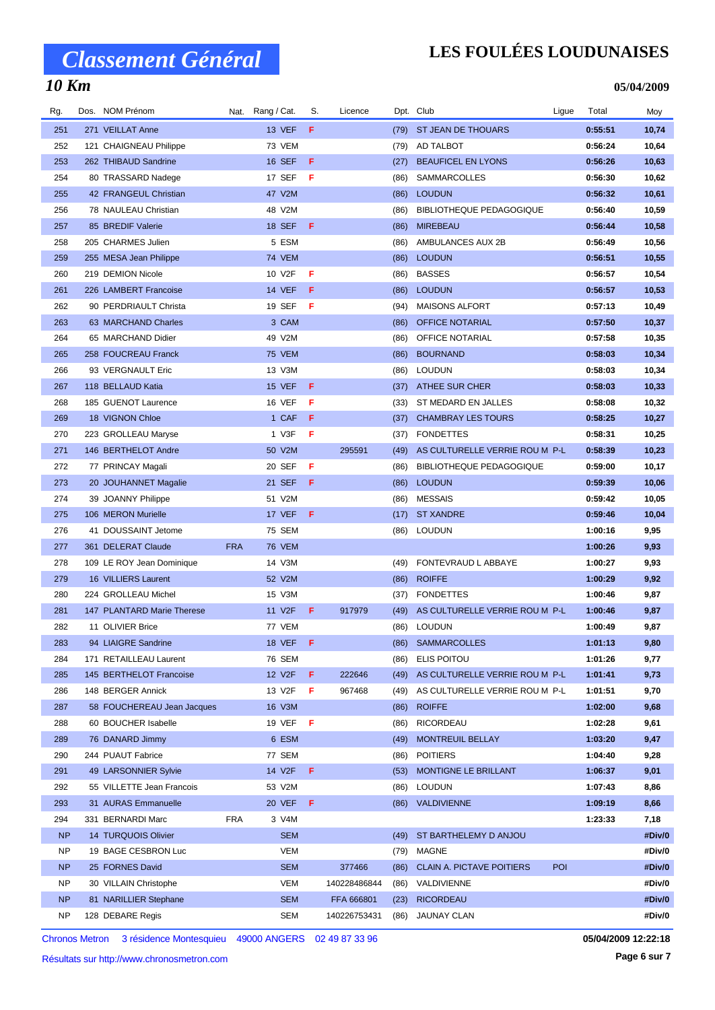# *Classement Général*

#### *10 Km*

### **LES FOULÉES LOUDUNAISES**

**05/04/2009**

| Rg.       | Dos. NOM Prénom            |            | Nat. Rang / Cat.    | S.  | Licence      |      | Dpt. Club                        | Ligue | Total   | Moy    |
|-----------|----------------------------|------------|---------------------|-----|--------------|------|----------------------------------|-------|---------|--------|
| 251       | 271 VEILLAT Anne           |            | <b>13 VEF</b>       | F.  |              |      | (79) ST JEAN DE THOUARS          |       | 0:55:51 | 10,74  |
| 252       | 121 CHAIGNEAU Philippe     |            | 73 VEM              |     |              | (79) | AD TALBOT                        |       | 0:56:24 | 10,64  |
| 253       | 262 THIBAUD Sandrine       |            | 16 SEF              | -F  |              | (27) | <b>BEAUFICEL EN LYONS</b>        |       | 0:56:26 | 10,63  |
| 254       | 80 TRASSARD Nadege         |            | 17 SEF              | F   |              | (86) | <b>SAMMARCOLLES</b>              |       | 0:56:30 | 10,62  |
| 255       | 42 FRANGEUL Christian      |            | 47 V2M              |     |              | (86) | <b>LOUDUN</b>                    |       | 0:56:32 | 10,61  |
| 256       | 78 NAULEAU Christian       |            | 48 V2M              |     |              | (86) | <b>BIBLIOTHEQUE PEDAGOGIQUE</b>  |       | 0:56:40 | 10,59  |
| 257       | 85 BREDIF Valerie          |            | <b>18 SEF</b>       | -F  |              | (86) | <b>MIREBEAU</b>                  |       | 0:56:44 | 10,58  |
| 258       | 205 CHARMES Julien         |            | 5 ESM               |     |              | (86) | AMBULANCES AUX 2B                |       | 0:56:49 | 10,56  |
| 259       | 255 MESA Jean Philippe     |            | <b>74 VEM</b>       |     |              | (86) | <b>LOUDUN</b>                    |       | 0:56:51 | 10,55  |
| 260       | 219 DEMION Nicole          |            | 10 V2F              | F   |              | (86) | <b>BASSES</b>                    |       | 0:56:57 | 10,54  |
| 261       | 226 LAMBERT Francoise      |            | <b>14 VEF</b>       | Æ   |              | (86) | <b>LOUDUN</b>                    |       | 0:56:57 | 10,53  |
| 262       | 90 PERDRIAULT Christa      |            | 19 SEF              | F   |              | (94) | <b>MAISONS ALFORT</b>            |       | 0:57:13 | 10,49  |
| 263       | 63 MARCHAND Charles        |            | 3 CAM               |     |              | (86) | <b>OFFICE NOTARIAL</b>           |       | 0:57:50 | 10,37  |
| 264       | 65 MARCHAND Didier         |            | 49 V2M              |     |              | (86) | OFFICE NOTARIAL                  |       | 0:57:58 | 10,35  |
| 265       | 258 FOUCREAU Franck        |            | <b>75 VEM</b>       |     |              | (86) | <b>BOURNAND</b>                  |       | 0:58:03 | 10,34  |
| 266       | 93 VERGNAULT Eric          |            | 13 V3M              |     |              | (86) | <b>LOUDUN</b>                    |       | 0:58:03 | 10,34  |
| 267       | 118 BELLAUD Katia          |            | <b>15 VEF</b>       | -F  |              | (37) | ATHEE SUR CHER                   |       | 0:58:03 | 10,33  |
| 268       | 185 GUENOT Laurence        |            | 16 VEF              | F   |              | (33) | ST MEDARD EN JALLES              |       | 0:58:08 | 10,32  |
| 269       | 18 VIGNON Chloe            |            | 1 CAF               | -F  |              | (37) | <b>CHAMBRAY LES TOURS</b>        |       | 0:58:25 | 10,27  |
| 270       | 223 GROLLEAU Maryse        |            | 1 V3F               | Æ   |              | (37) | <b>FONDETTES</b>                 |       | 0:58:31 | 10,25  |
| 271       | 146 BERTHELOT Andre        |            | 50 V2M              |     | 295591       | (49) | AS CULTURELLE VERRIE ROU M P-L   |       | 0:58:39 | 10,23  |
| 272       | 77 PRINCAY Magali          |            | 20 SEF              | F   |              | (86) | <b>BIBLIOTHEQUE PEDAGOGIQUE</b>  |       | 0:59:00 | 10,17  |
| 273       | 20 JOUHANNET Magalie       |            | 21 SEF              | -F  |              | (86) | <b>LOUDUN</b>                    |       | 0:59:39 | 10,06  |
| 274       | 39 JOANNY Philippe         |            | 51 V2M              |     |              | (86) | <b>MESSAIS</b>                   |       | 0:59:42 | 10,05  |
| 275       | 106 MERON Murielle         |            | 17 VEF              | -F  |              | (17) | <b>ST XANDRE</b>                 |       | 0:59:46 | 10,04  |
| 276       | 41 DOUSSAINT Jetome        |            | 75 SEM              |     |              |      | (86) LOUDUN                      |       | 1:00:16 | 9,95   |
| 277       | 361 DELERAT Claude         | <b>FRA</b> | <b>76 VEM</b>       |     |              |      |                                  |       | 1:00:26 | 9,93   |
| 278       | 109 LE ROY Jean Dominique  |            | 14 V3M              |     |              | (49) | FONTEVRAUD L ABBAYE              |       | 1:00:27 | 9,93   |
| 279       | 16 VILLIERS Laurent        |            | 52 V2M              |     |              | (86) | <b>ROIFFE</b>                    |       | 1:00:29 | 9,92   |
| 280       | 224 GROLLEAU Michel        |            | 15 V3M              |     |              | (37) | <b>FONDETTES</b>                 |       | 1:00:46 | 9,87   |
| 281       | 147 PLANTARD Marie Therese |            | 11 V <sub>2</sub> F | F   | 917979       | (49) | AS CULTURELLE VERRIE ROU M P-L   |       | 1:00:46 | 9,87   |
| 282       | 11 OLIVIER Brice           |            | 77 VEM              |     |              | (86) | <b>LOUDUN</b>                    |       | 1:00:49 | 9,87   |
| 283       | 94 LIAIGRE Sandrine        |            | 18 VEF <b>F</b>     |     |              | (86) | <b>SAMMARCOLLES</b>              |       | 1:01:13 | 9,80   |
| 284       | 171 RETAILLEAU Laurent     |            | 76 SEM              |     |              | (86) | ELIS POITOU                      |       | 1:01:26 | 9,77   |
| 285       | 145 BERTHELOT Francoise    |            | 12 V2F              | F   | 222646       | (49) | AS CULTURELLE VERRIE ROU M P-L   |       | 1:01:41 | 9,73   |
| 286       | 148 BERGER Annick          |            | 13 V2F              | F   | 967468       | (49) | AS CULTURELLE VERRIE ROU M P-L   |       | 1:01:51 | 9,70   |
| 287       | 58 FOUCHEREAU Jean Jacques |            | 16 V3M              |     |              | (86) | <b>ROIFFE</b>                    |       | 1:02:00 | 9,68   |
| 288       | 60 BOUCHER Isabelle        |            | 19 VEF              | -F  |              | (86) | RICORDEAU                        |       | 1:02:28 | 9,61   |
| 289       | 76 DANARD Jimmy            |            | 6 ESM               |     |              | (49) | MONTREUIL BELLAY                 |       | 1:03:20 | 9,47   |
| 290       | 244 PUAUT Fabrice          |            | 77 SEM              |     |              | (86) | <b>POITIERS</b>                  |       | 1:04:40 | 9,28   |
| 291       | 49 LARSONNIER Sylvie       |            | 14 V2F              | - F |              | (53) | MONTIGNE LE BRILLANT             |       | 1:06:37 | 9,01   |
| 292       | 55 VILLETTE Jean Francois  |            | 53 V2M              |     |              | (86) | <b>LOUDUN</b>                    |       | 1:07:43 | 8,86   |
| 293       | 31 AURAS Emmanuelle        |            | <b>20 VEF</b>       | - F |              | (86) | <b>VALDIVIENNE</b>               |       | 1:09:19 | 8,66   |
| 294       | 331 BERNARDI Marc          | <b>FRA</b> | 3 V4M               |     |              |      |                                  |       | 1:23:33 | 7,18   |
| <b>NP</b> | 14 TURQUOIS Olivier        |            | <b>SEM</b>          |     |              | (49) | ST BARTHELEMY D ANJOU            |       |         | #Div/0 |
| ΝP        | 19 BAGE CESBRON Luc        |            | <b>VEM</b>          |     |              | (79) | MAGNE                            |       |         | #Div/0 |
| <b>NP</b> | 25 FORNES David            |            | <b>SEM</b>          |     | 377466       | (86) | <b>CLAIN A. PICTAVE POITIERS</b> | POI   |         | #Div/0 |
| NP        | 30 VILLAIN Christophe      |            | VEM                 |     | 140228486844 | (86) | VALDIVIENNE                      |       |         | #Div/0 |
| <b>NP</b> | 81 NARILLIER Stephane      |            | <b>SEM</b>          |     | FFA 666801   | (23) | <b>RICORDEAU</b>                 |       |         | #Div/0 |
| ΝP        | 128 DEBARE Regis           |            | SEM                 |     | 140226753431 | (86) | <b>JAUNAY CLAN</b>               |       |         | #Div/0 |
|           |                            |            |                     |     |              |      |                                  |       |         |        |